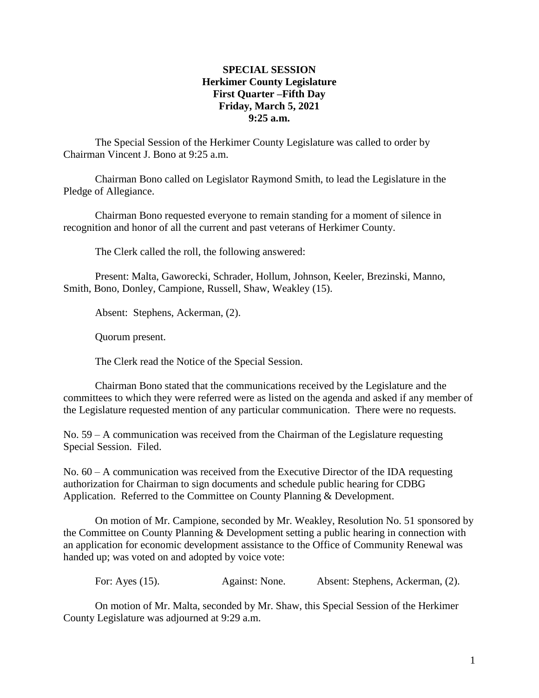## **SPECIAL SESSION Herkimer County Legislature First Quarter –Fifth Day Friday, March 5, 2021 9:25 a.m.**

The Special Session of the Herkimer County Legislature was called to order by Chairman Vincent J. Bono at 9:25 a.m.

Chairman Bono called on Legislator Raymond Smith, to lead the Legislature in the Pledge of Allegiance.

Chairman Bono requested everyone to remain standing for a moment of silence in recognition and honor of all the current and past veterans of Herkimer County.

The Clerk called the roll, the following answered:

Present: Malta, Gaworecki, Schrader, Hollum, Johnson, Keeler, Brezinski, Manno, Smith, Bono, Donley, Campione, Russell, Shaw, Weakley (15).

Absent: Stephens, Ackerman, (2).

Quorum present.

The Clerk read the Notice of the Special Session.

Chairman Bono stated that the communications received by the Legislature and the committees to which they were referred were as listed on the agenda and asked if any member of the Legislature requested mention of any particular communication. There were no requests.

No. 59 – A communication was received from the Chairman of the Legislature requesting Special Session. Filed.

No.  $60 - A$  communication was received from the Executive Director of the IDA requesting authorization for Chairman to sign documents and schedule public hearing for CDBG Application. Referred to the Committee on County Planning & Development.

On motion of Mr. Campione, seconded by Mr. Weakley, Resolution No. 51 sponsored by the Committee on County Planning & Development setting a public hearing in connection with an application for economic development assistance to the Office of Community Renewal was handed up; was voted on and adopted by voice vote:

For: Ayes (15). Against: None. Absent: Stephens, Ackerman, (2).

On motion of Mr. Malta, seconded by Mr. Shaw, this Special Session of the Herkimer County Legislature was adjourned at 9:29 a.m.